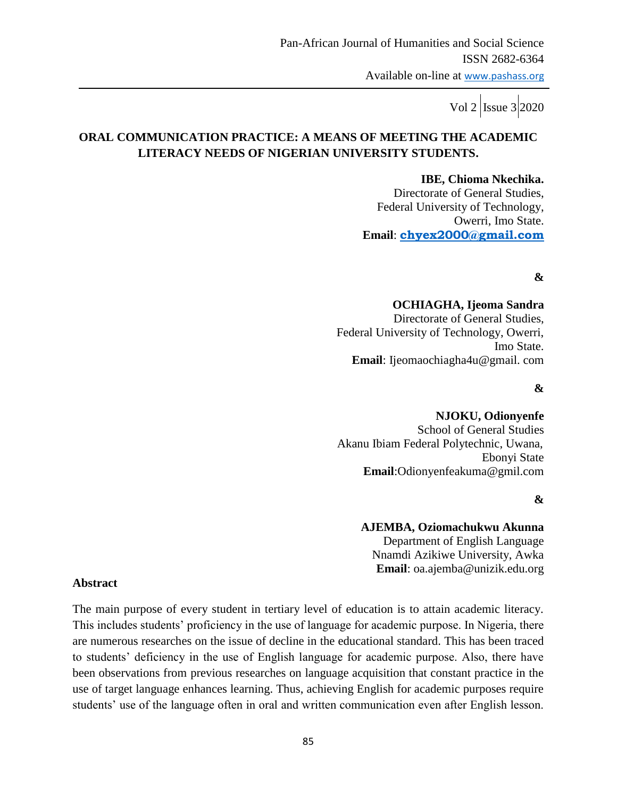# **ORAL COMMUNICATION PRACTICE: A MEANS OF MEETING THE ACADEMIC LITERACY NEEDS OF NIGERIAN UNIVERSITY STUDENTS.**

 **IBE, Chioma Nkechika.** Directorate of General Studies, Federal University of Technology, Owerri, Imo State. **Email**: **chyex2000@gmail.com**

## **&**

#### **OCHIAGHA, Ijeoma Sandra**

 Directorate of General Studies, Federal University of Technology, Owerri, Imo State. **Email**: Ijeomaochiagha4u@gmail. com

#### **&**

# **NJOKU, Odionyenfe** School of General Studies Akanu Ibiam Federal Polytechnic, Uwana, Ebonyi State **Email**:Odionyenfeakuma@gmil.com

#### **&**

#### **AJEMBA, Oziomachukwu Akunna**

Department of English Language Nnamdi Azikiwe University, Awka **Email**: oa.ajemba@unizik.edu.org

#### **Abstract**

The main purpose of every student in tertiary level of education is to attain academic literacy. This includes students" proficiency in the use of language for academic purpose. In Nigeria, there are numerous researches on the issue of decline in the educational standard. This has been traced to students" deficiency in the use of English language for academic purpose. Also, there have been observations from previous researches on language acquisition that constant practice in the use of target language enhances learning. Thus, achieving English for academic purposes require students' use of the language often in oral and written communication even after English lesson.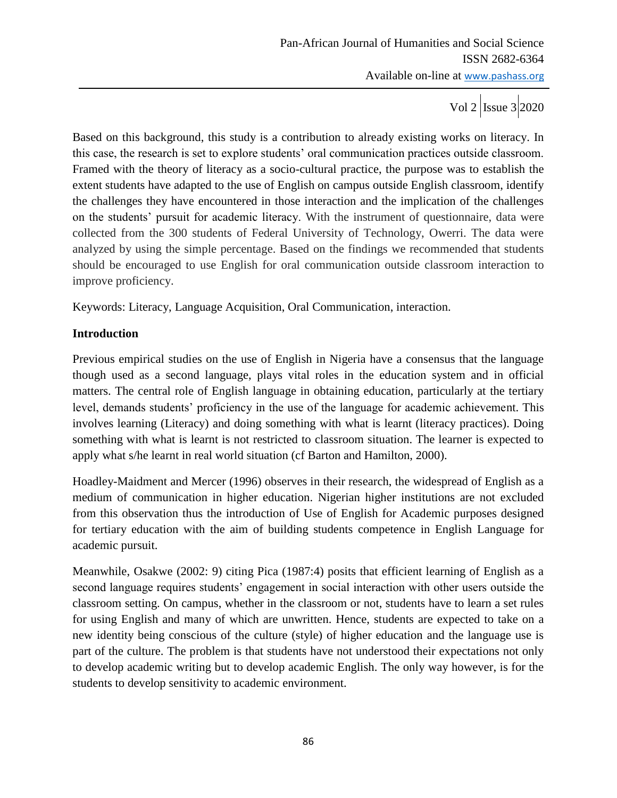Based on this background, this study is a contribution to already existing works on literacy. In this case, the research is set to explore students" oral communication practices outside classroom. Framed with the theory of literacy as a socio-cultural practice, the purpose was to establish the extent students have adapted to the use of English on campus outside English classroom, identify the challenges they have encountered in those interaction and the implication of the challenges on the students' pursuit for academic literacy. With the instrument of questionnaire, data were collected from the 300 students of Federal University of Technology, Owerri. The data were analyzed by using the simple percentage. Based on the findings we recommended that students should be encouraged to use English for oral communication outside classroom interaction to improve proficiency.

Keywords: Literacy, Language Acquisition, Oral Communication, interaction.

# **Introduction**

Previous empirical studies on the use of English in Nigeria have a consensus that the language though used as a second language, plays vital roles in the education system and in official matters. The central role of English language in obtaining education, particularly at the tertiary level, demands students' proficiency in the use of the language for academic achievement. This involves learning (Literacy) and doing something with what is learnt (literacy practices). Doing something with what is learnt is not restricted to classroom situation. The learner is expected to apply what s/he learnt in real world situation (cf Barton and Hamilton, 2000).

Hoadley-Maidment and Mercer (1996) observes in their research, the widespread of English as a medium of communication in higher education. Nigerian higher institutions are not excluded from this observation thus the introduction of Use of English for Academic purposes designed for tertiary education with the aim of building students competence in English Language for academic pursuit.

Meanwhile, Osakwe (2002: 9) citing Pica (1987:4) posits that efficient learning of English as a second language requires students' engagement in social interaction with other users outside the classroom setting. On campus, whether in the classroom or not, students have to learn a set rules for using English and many of which are unwritten. Hence, students are expected to take on a new identity being conscious of the culture (style) of higher education and the language use is part of the culture. The problem is that students have not understood their expectations not only to develop academic writing but to develop academic English. The only way however, is for the students to develop sensitivity to academic environment.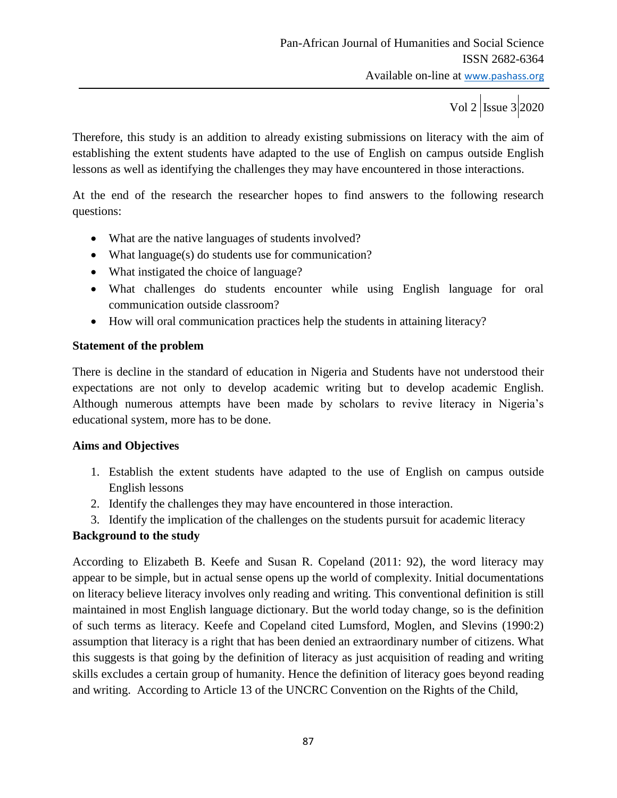Therefore, this study is an addition to already existing submissions on literacy with the aim of establishing the extent students have adapted to the use of English on campus outside English lessons as well as identifying the challenges they may have encountered in those interactions.

At the end of the research the researcher hopes to find answers to the following research questions:

- What are the native languages of students involved?
- What language(s) do students use for communication?
- What instigated the choice of language?
- What challenges do students encounter while using English language for oral communication outside classroom?
- How will oral communication practices help the students in attaining literacy?

## **Statement of the problem**

There is decline in the standard of education in Nigeria and Students have not understood their expectations are not only to develop academic writing but to develop academic English. Although numerous attempts have been made by scholars to revive literacy in Nigeria"s educational system, more has to be done.

## **Aims and Objectives**

- 1. Establish the extent students have adapted to the use of English on campus outside English lessons
- 2. Identify the challenges they may have encountered in those interaction.
- 3. Identify the implication of the challenges on the students pursuit for academic literacy

## **Background to the study**

According to Elizabeth B. Keefe and Susan R. Copeland (2011: 92), the word literacy may appear to be simple, but in actual sense opens up the world of complexity. Initial documentations on literacy believe literacy involves only reading and writing. This conventional definition is still maintained in most English language dictionary. But the world today change, so is the definition of such terms as literacy. Keefe and Copeland cited Lumsford, Moglen, and Slevins (1990:2) assumption that literacy is a right that has been denied an extraordinary number of citizens. What this suggests is that going by the definition of literacy as just acquisition of reading and writing skills excludes a certain group of humanity. Hence the definition of literacy goes beyond reading and writing. According to Article 13 of the UNCRC Convention on the Rights of the Child,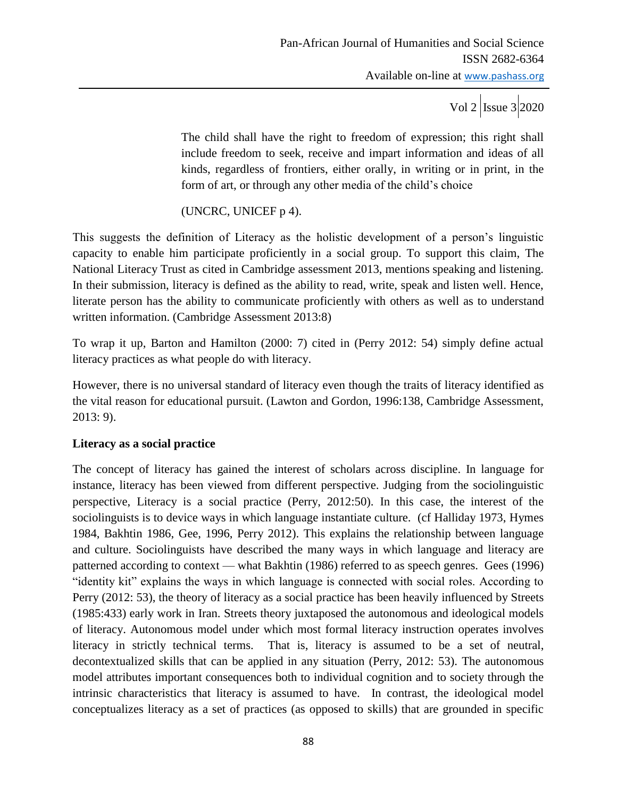The child shall have the right to freedom of expression; this right shall include freedom to seek, receive and impart information and ideas of all kinds, regardless of frontiers, either orally, in writing or in print, in the form of art, or through any other media of the child"s choice

(UNCRC, UNICEF p 4).

This suggests the definition of Literacy as the holistic development of a person"s linguistic capacity to enable him participate proficiently in a social group. To support this claim, The National Literacy Trust as cited in Cambridge assessment 2013, mentions speaking and listening. In their submission, literacy is defined as the ability to read, write, speak and listen well. Hence, literate person has the ability to communicate proficiently with others as well as to understand written information. (Cambridge Assessment 2013:8)

To wrap it up, Barton and Hamilton (2000: 7) cited in (Perry 2012: 54) simply define actual literacy practices as what people do with literacy.

However, there is no universal standard of literacy even though the traits of literacy identified as the vital reason for educational pursuit. (Lawton and Gordon, 1996:138, Cambridge Assessment, 2013: 9).

## **Literacy as a social practice**

The concept of literacy has gained the interest of scholars across discipline. In language for instance, literacy has been viewed from different perspective. Judging from the sociolinguistic perspective, Literacy is a social practice (Perry, 2012:50). In this case, the interest of the sociolinguists is to device ways in which language instantiate culture. (cf Halliday 1973, Hymes 1984, Bakhtin 1986, Gee, 1996, Perry 2012). This explains the relationship between language and culture. Sociolinguists have described the many ways in which language and literacy are patterned according to context — what Bakhtin (1986) referred to as speech genres. Gees (1996) "identity kit" explains the ways in which language is connected with social roles. According to Perry (2012: 53), the theory of literacy as a social practice has been heavily influenced by Streets (1985:433) early work in Iran. Streets theory juxtaposed the autonomous and ideological models of literacy. Autonomous model under which most formal literacy instruction operates involves literacy in strictly technical terms. That is, literacy is assumed to be a set of neutral, decontextualized skills that can be applied in any situation (Perry, 2012: 53). The autonomous model attributes important consequences both to individual cognition and to society through the intrinsic characteristics that literacy is assumed to have. In contrast, the ideological model conceptualizes literacy as a set of practices (as opposed to skills) that are grounded in specific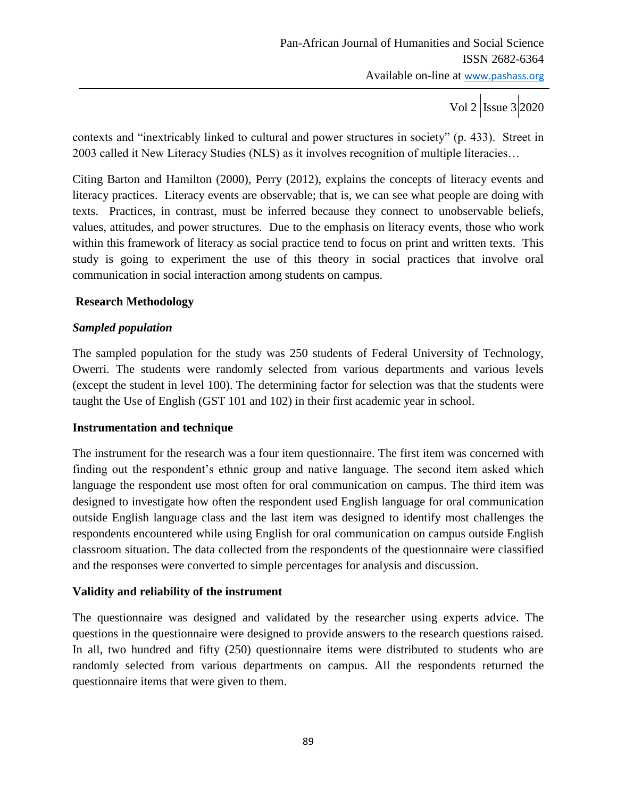contexts and "inextricably linked to cultural and power structures in society" (p. 433). Street in 2003 called it New Literacy Studies (NLS) as it involves recognition of multiple literacies…

Citing Barton and Hamilton (2000), Perry (2012), explains the concepts of literacy events and literacy practices. Literacy events are observable; that is, we can see what people are doing with texts. Practices, in contrast, must be inferred because they connect to unobservable beliefs, values, attitudes, and power structures. Due to the emphasis on literacy events, those who work within this framework of literacy as social practice tend to focus on print and written texts. This study is going to experiment the use of this theory in social practices that involve oral communication in social interaction among students on campus.

## **Research Methodology**

# *Sampled population*

The sampled population for the study was 250 students of Federal University of Technology, Owerri. The students were randomly selected from various departments and various levels (except the student in level 100). The determining factor for selection was that the students were taught the Use of English (GST 101 and 102) in their first academic year in school.

## **Instrumentation and technique**

The instrument for the research was a four item questionnaire. The first item was concerned with finding out the respondent's ethnic group and native language. The second item asked which language the respondent use most often for oral communication on campus. The third item was designed to investigate how often the respondent used English language for oral communication outside English language class and the last item was designed to identify most challenges the respondents encountered while using English for oral communication on campus outside English classroom situation. The data collected from the respondents of the questionnaire were classified and the responses were converted to simple percentages for analysis and discussion.

## **Validity and reliability of the instrument**

The questionnaire was designed and validated by the researcher using experts advice. The questions in the questionnaire were designed to provide answers to the research questions raised. In all, two hundred and fifty (250) questionnaire items were distributed to students who are randomly selected from various departments on campus. All the respondents returned the questionnaire items that were given to them.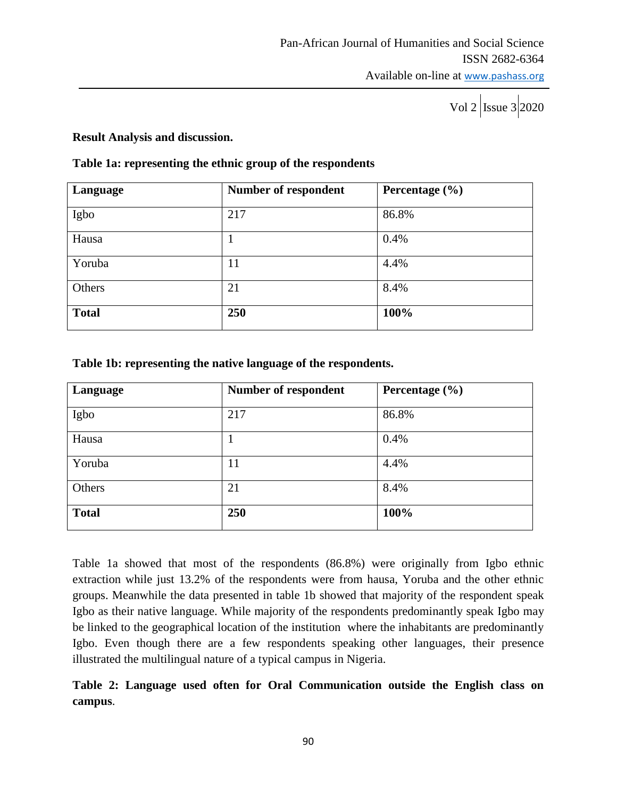#### **Result Analysis and discussion.**

#### **Table 1a: representing the ethnic group of the respondents**

| Language     | <b>Number of respondent</b> | Percentage $(\% )$ |
|--------------|-----------------------------|--------------------|
| Igbo         | 217                         | 86.8%              |
| Hausa        |                             | 0.4%               |
| Yoruba       | 11                          | 4.4%               |
| Others       | 21                          | 8.4%               |
| <b>Total</b> | 250                         | 100%               |

#### **Table 1b: representing the native language of the respondents.**

| Language     | Number of respondent | Percentage $(\% )$ |
|--------------|----------------------|--------------------|
| Igbo         | 217                  | 86.8%              |
| Hausa        | 1                    | 0.4%               |
| Yoruba       | 11                   | 4.4%               |
| Others       | 21                   | 8.4%               |
| <b>Total</b> | 250                  | 100%               |

Table 1a showed that most of the respondents (86.8%) were originally from Igbo ethnic extraction while just 13.2% of the respondents were from hausa, Yoruba and the other ethnic groups. Meanwhile the data presented in table 1b showed that majority of the respondent speak Igbo as their native language. While majority of the respondents predominantly speak Igbo may be linked to the geographical location of the institution where the inhabitants are predominantly Igbo. Even though there are a few respondents speaking other languages, their presence illustrated the multilingual nature of a typical campus in Nigeria.

# **Table 2: Language used often for Oral Communication outside the English class on campus**.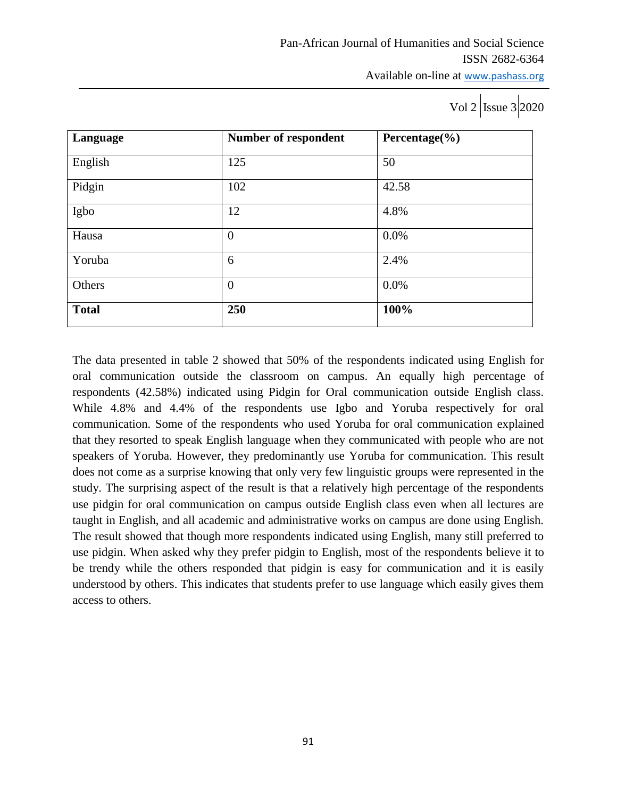| Language     | Number of respondent | Percentage $(\% )$ |
|--------------|----------------------|--------------------|
| English      | 125                  | 50                 |
| Pidgin       | 102                  | 42.58              |
| Igbo         | 12                   | 4.8%               |
| Hausa        | $\theta$             | 0.0%               |
| Yoruba       | 6                    | 2.4%               |
| Others       | $\theta$             | 0.0%               |
| <b>Total</b> | 250                  | 100%               |

The data presented in table 2 showed that 50% of the respondents indicated using English for oral communication outside the classroom on campus. An equally high percentage of respondents (42.58%) indicated using Pidgin for Oral communication outside English class. While 4.8% and 4.4% of the respondents use Igbo and Yoruba respectively for oral communication. Some of the respondents who used Yoruba for oral communication explained that they resorted to speak English language when they communicated with people who are not speakers of Yoruba. However, they predominantly use Yoruba for communication. This result does not come as a surprise knowing that only very few linguistic groups were represented in the study. The surprising aspect of the result is that a relatively high percentage of the respondents use pidgin for oral communication on campus outside English class even when all lectures are taught in English, and all academic and administrative works on campus are done using English. The result showed that though more respondents indicated using English, many still preferred to use pidgin. When asked why they prefer pidgin to English, most of the respondents believe it to be trendy while the others responded that pidgin is easy for communication and it is easily understood by others. This indicates that students prefer to use language which easily gives them access to others.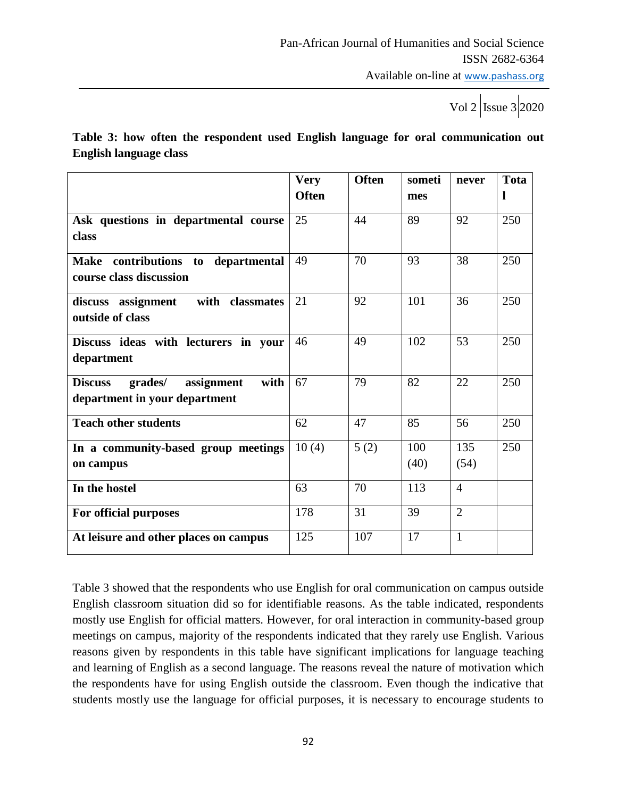**Table 3: how often the respondent used English language for oral communication out English language class**

|                                                 | <b>Very</b>  | <b>Often</b> | someti | never          | <b>Tota</b> |
|-------------------------------------------------|--------------|--------------|--------|----------------|-------------|
|                                                 | <b>Often</b> |              | mes    |                |             |
| Ask questions in departmental course            | 25           | 44           | 89     | 92             | 250         |
| class                                           |              |              |        |                |             |
| contributions to<br><b>Make</b><br>departmental | 49           | 70           | 93     | 38             | 250         |
| course class discussion                         |              |              |        |                |             |
| with classmates<br>discuss assignment           | 21           | 92           | 101    | 36             | 250         |
| outside of class                                |              |              |        |                |             |
| Discuss ideas with lecturers in your            | 46           | 49           | 102    | 53             | 250         |
| department                                      |              |              |        |                |             |
| assignment<br>with<br><b>Discuss</b><br>grades/ | 67           | 79           | 82     | 22             | 250         |
| department in your department                   |              |              |        |                |             |
| <b>Teach other students</b>                     | 62           | 47           | 85     | 56             | 250         |
| In a community-based group meetings             | 10(4)        | 5(2)         | 100    | 135            | 250         |
| on campus                                       |              |              | (40)   | (54)           |             |
| In the hostel                                   | 63           | 70           | 113    | $\overline{4}$ |             |
| For official purposes                           | 178          | 31           | 39     | $\overline{2}$ |             |
| At leisure and other places on campus           | 125          | 107          | 17     | $\mathbf{1}$   |             |

Table 3 showed that the respondents who use English for oral communication on campus outside English classroom situation did so for identifiable reasons. As the table indicated, respondents mostly use English for official matters. However, for oral interaction in community-based group meetings on campus, majority of the respondents indicated that they rarely use English. Various reasons given by respondents in this table have significant implications for language teaching and learning of English as a second language. The reasons reveal the nature of motivation which the respondents have for using English outside the classroom. Even though the indicative that students mostly use the language for official purposes, it is necessary to encourage students to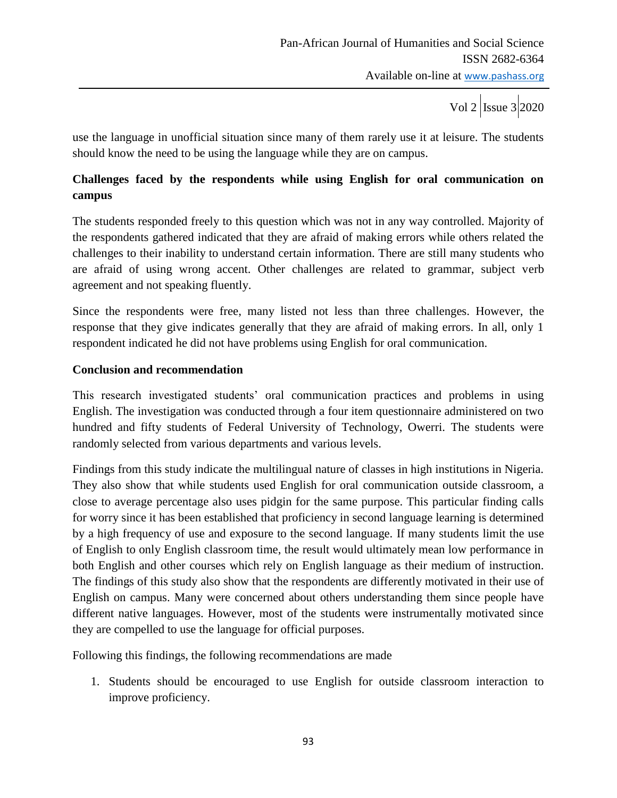use the language in unofficial situation since many of them rarely use it at leisure. The students should know the need to be using the language while they are on campus.

# **Challenges faced by the respondents while using English for oral communication on campus**

The students responded freely to this question which was not in any way controlled. Majority of the respondents gathered indicated that they are afraid of making errors while others related the challenges to their inability to understand certain information. There are still many students who are afraid of using wrong accent. Other challenges are related to grammar, subject verb agreement and not speaking fluently.

Since the respondents were free, many listed not less than three challenges. However, the response that they give indicates generally that they are afraid of making errors. In all, only 1 respondent indicated he did not have problems using English for oral communication.

#### **Conclusion and recommendation**

This research investigated students" oral communication practices and problems in using English. The investigation was conducted through a four item questionnaire administered on two hundred and fifty students of Federal University of Technology, Owerri. The students were randomly selected from various departments and various levels.

Findings from this study indicate the multilingual nature of classes in high institutions in Nigeria. They also show that while students used English for oral communication outside classroom, a close to average percentage also uses pidgin for the same purpose. This particular finding calls for worry since it has been established that proficiency in second language learning is determined by a high frequency of use and exposure to the second language. If many students limit the use of English to only English classroom time, the result would ultimately mean low performance in both English and other courses which rely on English language as their medium of instruction. The findings of this study also show that the respondents are differently motivated in their use of English on campus. Many were concerned about others understanding them since people have different native languages. However, most of the students were instrumentally motivated since they are compelled to use the language for official purposes.

Following this findings, the following recommendations are made

1. Students should be encouraged to use English for outside classroom interaction to improve proficiency.